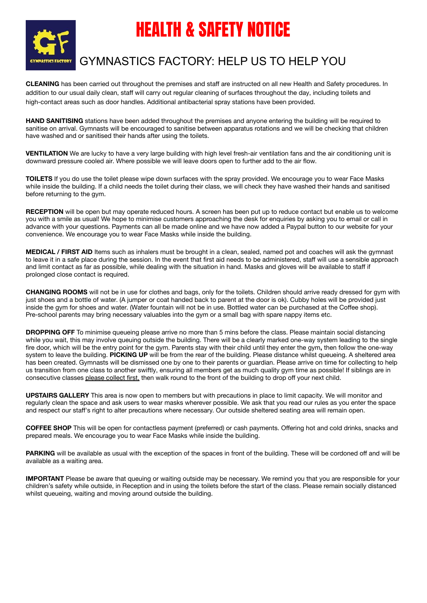

# HEALTH & SAFETY NOTICE

## GYMNASTICS FACTORY: HELP US TO HELP YOU

**CLEANING** has been carried out throughout the premises and staff are instructed on all new Health and Safety procedures. In addition to our usual daily clean, staff will carry out regular cleaning of surfaces throughout the day, including toilets and high-contact areas such as door handles. Additional antibacterial spray stations have been provided.

**HAND SANITISING** stations have been added throughout the premises and anyone entering the building will be required to sanitise on arrival. Gymnasts will be encouraged to sanitise between apparatus rotations and we will be checking that children have washed and or sanitised their hands after using the toilets.

**VENTILATION** We are lucky to have a very large building with high level fresh-air ventilation fans and the air conditioning unit is downward pressure cooled air. Where possible we will leave doors open to further add to the air flow.

**TOILETS** If you do use the toilet please wipe down surfaces with the spray provided. We encourage you to wear Face Masks while inside the building. If a child needs the toilet during their class, we will check they have washed their hands and sanitised before returning to the gym.

**RECEPTION** will be open but may operate reduced hours. A screen has been put up to reduce contact but enable us to welcome you with a smile as usual! We hope to minimise customers approaching the desk for enquiries by asking you to email or call in advance with your questions. Payments can all be made online and we have now added a Paypal button to our website for your convenience. We encourage you to wear Face Masks while inside the building.

**MEDICAL / FIRST AID** Items such as inhalers must be brought in a clean, sealed, named pot and coaches will ask the gymnast to leave it in a safe place during the session. In the event that first aid needs to be administered, staff will use a sensible approach and limit contact as far as possible, while dealing with the situation in hand. Masks and gloves will be available to staff if prolonged close contact is required.

**CHANGING ROOMS** will not be in use for clothes and bags, only for the toilets. Children should arrive ready dressed for gym with just shoes and a bottle of water. (A jumper or coat handed back to parent at the door is ok). Cubby holes will be provided just inside the gym for shoes and water. (Water fountain will not be in use. Bottled water can be purchased at the Coffee shop). Pre-school parents may bring necessary valuables into the gym or a small bag with spare nappy items etc.

**DROPPING OFF** To minimise queueing please arrive no more than 5 mins before the class. Please maintain social distancing while you wait, this may involve queuing outside the building. There will be a clearly marked one-way system leading to the single fire door, which will be the entry point for the gym. Parents stay with their child until they enter the gym**,** then follow the one-way system to leave the building. **PICKING UP** will be from the rear of the building. Please distance whilst queueing. A sheltered area has been created. Gymnasts will be dismissed one by one to their parents or guardian. Please arrive on time for collecting to help us transition from one class to another swiftly, ensuring all members get as much quality gym time as possible! If siblings are in consecutive classes please collect first, then walk round to the front of the building to drop off your next child.

**UPSTAIRS GALLERY** This area is now open to members but with precautions in place to limit capacity. We will monitor and regularly clean the space and ask users to wear masks wherever possible. We ask that you read our rules as you enter the space and respect our staff's right to alter precautions where necessary. Our outside sheltered seating area will remain open.

**COFFEE SHOP** This will be open for contactless payment (preferred) or cash payments. Offering hot and cold drinks, snacks and prepared meals. We encourage you to wear Face Masks while inside the building.

PARKING will be available as usual with the exception of the spaces in front of the building. These will be cordoned off and will be available as a waiting area.

**IMPORTANT** Please be aware that queuing or waiting outside may be necessary. We remind you that you are responsible for your children's safety while outside, in Reception and in using the toilets before the start of the class. Please remain socially distanced whilst queueing, waiting and moving around outside the building.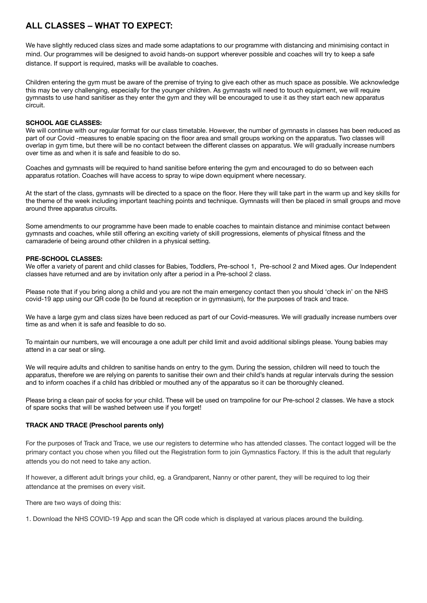### **ALL CLASSES – WHAT TO EXPECT:**

We have slightly reduced class sizes and made some adaptations to our programme with distancing and minimising contact in mind. Our programmes will be designed to avoid hands-on support wherever possible and coaches will try to keep a safe distance. If support is required, masks will be available to coaches.

Children entering the gym must be aware of the premise of trying to give each other as much space as possible. We acknowledge this may be very challenging, especially for the younger children. As gymnasts will need to touch equipment, we will require gymnasts to use hand sanitiser as they enter the gym and they will be encouraged to use it as they start each new apparatus circuit.

#### **SCHOOL AGE CLASSES:**

We will continue with our regular format for our class timetable. However, the number of gymnasts in classes has been reduced as part of our Covid -measures to enable spacing on the floor area and small groups working on the apparatus. Two classes will overlap in gym time, but there will be no contact between the different classes on apparatus. We will gradually increase numbers over time as and when it is safe and feasible to do so.

Coaches and gymnasts will be required to hand sanitise before entering the gym and encouraged to do so between each apparatus rotation. Coaches will have access to spray to wipe down equipment where necessary.

At the start of the class, gymnasts will be directed to a space on the floor. Here they will take part in the warm up and key skills for the theme of the week including important teaching points and technique. Gymnasts will then be placed in small groups and move around three apparatus circuits.

Some amendments to our programme have been made to enable coaches to maintain distance and minimise contact between gymnasts and coaches, while still offering an exciting variety of skill progressions, elements of physical fitness and the camaraderie of being around other children in a physical setting.

#### **PRE-SCHOOL CLASSES:**

We offer a variety of parent and child classes for Babies, Toddlers, Pre-school 1, Pre-school 2 and Mixed ages. Our Independent classes have returned and are by invitation only after a period in a Pre-school 2 class.

Please note that if you bring along a child and you are not the main emergency contact then you should 'check in' on the NHS covid-19 app using our QR code (to be found at reception or in gymnasium), for the purposes of track and trace.

We have a large gym and class sizes have been reduced as part of our Covid-measures. We will gradually increase numbers over time as and when it is safe and feasible to do so.

To maintain our numbers, we will encourage a one adult per child limit and avoid additional siblings please. Young babies may attend in a car seat or sling.

We will require adults and children to sanitise hands on entry to the gym. During the session, children will need to touch the apparatus, therefore we are relying on parents to sanitise their own and their child's hands at regular intervals during the session and to inform coaches if a child has dribbled or mouthed any of the apparatus so it can be thoroughly cleaned.

Please bring a clean pair of socks for your child. These will be used on trampoline for our Pre-school 2 classes. We have a stock of spare socks that will be washed between use if you forget!

#### **TRACK AND TRACE (Preschool parents only)**

For the purposes of Track and Trace, we use our registers to determine who has attended classes. The contact logged will be the primary contact you chose when you filled out the Registration form to join Gymnastics Factory. If this is the adult that regularly attends you do not need to take any action.

If however, a different adult brings your child, eg. a Grandparent, Nanny or other parent, they will be required to log their attendance at the premises on every visit.

There are two ways of doing this:

1. Download the NHS COVID-19 App and scan the QR code which is displayed at various places around the building.